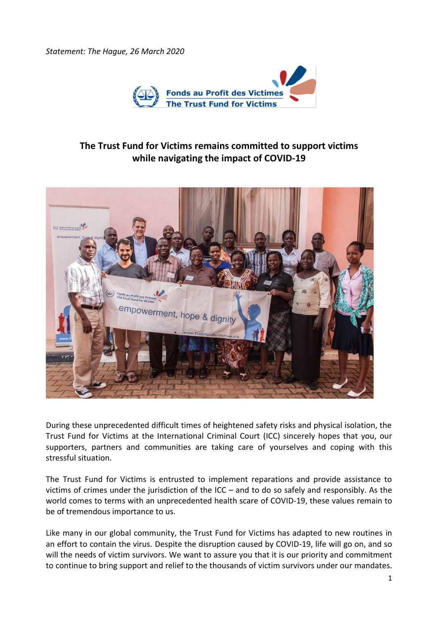*Statement: The Hague, 26 March 2020*



## **The Trust Fund for Victims remains committed to support victims while navigating the impact of COVID-19**



During these unprecedented difficult times of heightened safety risks and physical isolation, the Trust Fund for Victims at the International Criminal Court (ICC) sincerely hopes that you, our supporters, partners and communities are taking care of yourselves and coping with this stressful situation.

The Trust Fund for Victims is entrusted to implement reparations and provide assistance to victims of crimes under the jurisdiction of the ICC – and to do so safely and responsibly. As the world comes to terms with an unprecedented health scare of COVID-19, these values remain to be of tremendous importance to us.

Like many in our global community, the Trust Fund for Victims has adapted to new routines in an effort to contain the virus. Despite the disruption caused by COVID-19, life will go on, and so will the needs of victim survivors. We want to assure you that it is our priority and commitment to continue to bring support and relief to the thousands of victim survivors under our mandates.